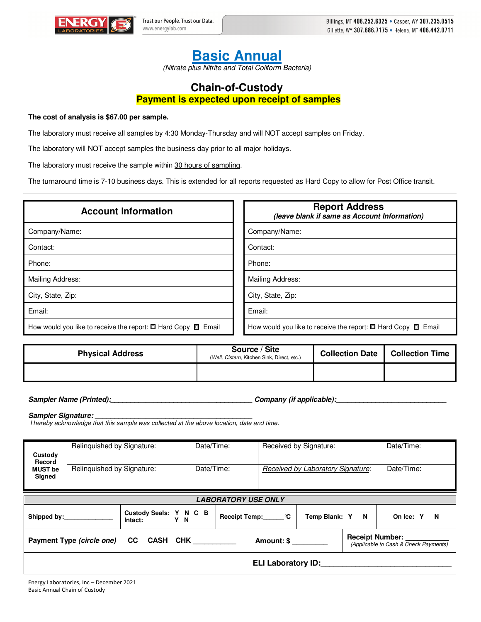

## **Basic Annual**

(Nitrate plus Nitrite and Total Coliform Bacteria)

## **Chain-of-Custody Payment is expected upon receipt of samples**

## **The cost of analysis is \$67.00 per sample.**

The laboratory must receive all samples by 4:30 Monday-Thursday and will NOT accept samples on Friday.

The laboratory will NOT accept samples the business day prior to all major holidays.

The laboratory must receive the sample within 30 hours of sampling.

The turnaround time is 7-10 business days. This is extended for all reports requested as Hard Copy to allow for Post Office transit.

| <b>Account Information</b>                                              | <b>Report Address</b><br>(leave blank if same as Account Information)   |  |  |  |  |
|-------------------------------------------------------------------------|-------------------------------------------------------------------------|--|--|--|--|
| Company/Name:                                                           | Company/Name:                                                           |  |  |  |  |
| Contact:                                                                | Contact:                                                                |  |  |  |  |
| Phone:                                                                  | Phone:                                                                  |  |  |  |  |
| Mailing Address:                                                        | Mailing Address:                                                        |  |  |  |  |
| City, State, Zip:                                                       | City, State, Zip:                                                       |  |  |  |  |
| Email:                                                                  | Email:                                                                  |  |  |  |  |
| How would you like to receive the report: $\Box$ Hard Copy $\Box$ Email | How would you like to receive the report: $\Box$ Hard Copy $\Box$ Email |  |  |  |  |

| <b>Physical Address</b> | Source / Site<br>(Well, Cistern, Kitchen Sink, Direct, etc.) | <b>Collection Date</b> | <b>Collection Time</b> |
|-------------------------|--------------------------------------------------------------|------------------------|------------------------|
|                         |                                                              |                        |                        |

**Sampler Name (Printed):\_\_\_\_\_\_\_\_\_\_\_\_\_\_\_\_\_\_\_\_\_\_\_\_\_\_\_\_\_\_\_\_\_\_\_\_ Company (if applicable):\_\_\_\_\_\_\_\_\_\_\_\_\_\_\_\_\_\_\_\_\_\_\_\_\_\_\_\_** 

Sampler Signature:

I hereby acknowledge that this sample was collected at the above location, date and time.

| Custody                                                                                                                | Relinquished by Signature: |  | Date/Time:      |  | Received by Signature:            |  | Date/Time:     |  |
|------------------------------------------------------------------------------------------------------------------------|----------------------------|--|-----------------|--|-----------------------------------|--|----------------|--|
| Record<br><b>MUST be</b><br>Signed                                                                                     | Relinquished by Signature: |  | Date/Time:      |  | Received by Laboratory Signature: |  | Date/Time:     |  |
| <b>LABORATORY USE ONLY</b>                                                                                             |                            |  |                 |  |                                   |  |                |  |
| Custody Seals: Y N C B<br>Y N<br>Intact:                                                                               |                            |  | Receipt Temp: C |  | Temp Blank: Y<br>$\blacksquare$   |  | On Ice: Y<br>N |  |
| <b>Receipt Number:</b><br>Payment Type (circle one) CC CASH CHK<br>Amount: \$<br>(Applicable to Cash & Check Payments) |                            |  |                 |  |                                   |  |                |  |
| <b>ELI Laboratory ID:</b>                                                                                              |                            |  |                 |  |                                   |  |                |  |